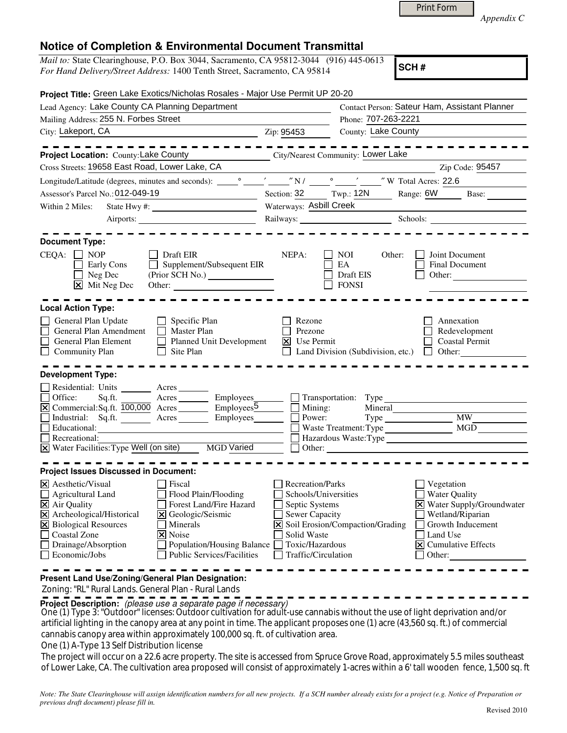|  | <b>Print Form</b> |
|--|-------------------|
|  |                   |

*Appendix C* 

| <i>Mail to:</i> State Clearinghouse, P.O. Box 3044, Sacramento, CA 95812-3044 (916) 445-0613 | $ _{\rm SCH}$ |  |
|----------------------------------------------------------------------------------------------|---------------|--|
| For Hand Delivery/Street Address: 1400 Tenth Street, Sacramento, CA 95814                    |               |  |
|                                                                                              |               |  |

**SCH #**

| Project Title: Green Lake Exotics/Nicholas Rosales - Major Use Permit UP 20-20                                                                                                                                                                                                                                                                                                                                |                                                                                                                                              |                                                                                                                                                                                                                                |                                                                                                                                                                                |  |
|---------------------------------------------------------------------------------------------------------------------------------------------------------------------------------------------------------------------------------------------------------------------------------------------------------------------------------------------------------------------------------------------------------------|----------------------------------------------------------------------------------------------------------------------------------------------|--------------------------------------------------------------------------------------------------------------------------------------------------------------------------------------------------------------------------------|--------------------------------------------------------------------------------------------------------------------------------------------------------------------------------|--|
| Lead Agency: Lake County CA Planning Department                                                                                                                                                                                                                                                                                                                                                               |                                                                                                                                              | Contact Person: Sateur Ham, Assistant Planner<br>Phone: 707-263-2221                                                                                                                                                           |                                                                                                                                                                                |  |
| Mailing Address: 255 N. Forbes Street                                                                                                                                                                                                                                                                                                                                                                         |                                                                                                                                              |                                                                                                                                                                                                                                |                                                                                                                                                                                |  |
| City: Lakeport, CA<br><u>2</u> Zip: 95453                                                                                                                                                                                                                                                                                                                                                                     |                                                                                                                                              | County: Lake County                                                                                                                                                                                                            |                                                                                                                                                                                |  |
|                                                                                                                                                                                                                                                                                                                                                                                                               |                                                                                                                                              |                                                                                                                                                                                                                                |                                                                                                                                                                                |  |
| Project Location: County: Lake County                                                                                                                                                                                                                                                                                                                                                                         | City/Nearest Community: Lower Lake                                                                                                           |                                                                                                                                                                                                                                |                                                                                                                                                                                |  |
| Cross Streets: 19658 East Road, Lower Lake, CA                                                                                                                                                                                                                                                                                                                                                                |                                                                                                                                              |                                                                                                                                                                                                                                | Zip Code: 95457                                                                                                                                                                |  |
|                                                                                                                                                                                                                                                                                                                                                                                                               |                                                                                                                                              |                                                                                                                                                                                                                                |                                                                                                                                                                                |  |
| Assessor's Parcel No.: 012-049-19                                                                                                                                                                                                                                                                                                                                                                             |                                                                                                                                              |                                                                                                                                                                                                                                | Section: 32 Twp.: 12N Range: 6W Base:                                                                                                                                          |  |
| Within 2 Miles:                                                                                                                                                                                                                                                                                                                                                                                               | Waterways: Asbill Creek                                                                                                                      |                                                                                                                                                                                                                                |                                                                                                                                                                                |  |
|                                                                                                                                                                                                                                                                                                                                                                                                               |                                                                                                                                              | Railways: Schools: Schools: 2000 Schools: 2000 Schools: 2000 Schools: 2000 Schools: 2000 Schools: 2000 Schools: 2000 Schools: 2000 Schools: 2000 Schools: 2000 Schools: 2000 Schools: 2000 Schools: 2000 Schools: 2000 Schools |                                                                                                                                                                                |  |
|                                                                                                                                                                                                                                                                                                                                                                                                               |                                                                                                                                              |                                                                                                                                                                                                                                |                                                                                                                                                                                |  |
| <b>Document Type:</b><br>$CEQA: \Box NOP$<br>Draft EIR<br>Supplement/Subsequent EIR<br>$\Box$ Early Cons<br>$\Box$ Neg Dec<br>$\boxtimes$ Mit Neg Dec<br>Other:                                                                                                                                                                                                                                               | NEPA:                                                                                                                                        | Other:<br>NOI<br>EA<br>Draft EIS<br><b>FONSI</b>                                                                                                                                                                               | Joint Document<br>Final Document<br>Other:                                                                                                                                     |  |
| <b>Local Action Type:</b>                                                                                                                                                                                                                                                                                                                                                                                     |                                                                                                                                              |                                                                                                                                                                                                                                |                                                                                                                                                                                |  |
| General Plan Update<br>$\Box$ Specific Plan<br>General Plan Amendment<br>$\Box$ Master Plan<br>Planned Unit Development<br>General Plan Element<br>Community Plan<br>$\Box$ Site Plan                                                                                                                                                                                                                         | Rezone<br>Prezone<br>$X$ Use Permit<br>$\mathbf{L}$                                                                                          | Land Division (Subdivision, etc.) $\Box$ Other:                                                                                                                                                                                | Annexation<br>Redevelopment<br><b>Coastal Permit</b>                                                                                                                           |  |
| <b>Development Type:</b>                                                                                                                                                                                                                                                                                                                                                                                      |                                                                                                                                              |                                                                                                                                                                                                                                |                                                                                                                                                                                |  |
| Residential: Units ________ Acres _______<br>$\Box$ Office:<br>Sq.ft. _________ Acres __________ Employees________<br>$\overline{X}$ Commercial: Sq.ft. $\overline{100,000}$ Acres Employees $\overline{5}$ Mining:<br>Industrial: Sq.ft. Acres Employees Records<br>Educational:<br>Recreational:<br>X Water Facilities: Type Well (on site) MGD Varied                                                      | Power:                                                                                                                                       | Mineral<br>Other:                                                                                                                                                                                                              | Hazardous Waste:Type <sup>1</sup>                                                                                                                                              |  |
| <b>Project Issues Discussed in Document:</b>                                                                                                                                                                                                                                                                                                                                                                  |                                                                                                                                              |                                                                                                                                                                                                                                |                                                                                                                                                                                |  |
| $ \mathsf{X} $ Aesthetic/Visual<br>$\Box$ Fiscal<br><b>Agricultural Land</b><br>Flood Plain/Flooding<br>X Air Quality<br>Forest Land/Fire Hazard<br>X Archeological/Historical<br>X Geologic/Seismic<br><b>X</b> Biological Resources<br>Minerals<br>Coastal Zone<br>$\overline{\mathsf{x}}$ Noise<br>Drainage/Absorption<br>Population/Housing Balance<br><b>Public Services/Facilities</b><br>Economic/Jobs | Recreation/Parks<br>Schools/Universities<br>Septic Systems<br>Sewer Capacity<br>l×l<br>Solid Waste<br>Toxic/Hazardous<br>Traffic/Circulation | Soil Erosion/Compaction/Grading                                                                                                                                                                                                | Vegetation<br><b>Water Quality</b><br>X Water Supply/Groundwater<br>Wetland/Riparian<br>Growth Inducement<br>Land Use<br>$\vert \mathbf{x} \vert$ Cumulative Effects<br>Other: |  |
| Present Land Use/Zoning/General Plan Designation:                                                                                                                                                                                                                                                                                                                                                             |                                                                                                                                              |                                                                                                                                                                                                                                |                                                                                                                                                                                |  |

Zoning: "RL" Rural Lands. General Plan - Rural Lands

**Project Description:** (please use a separate page if necessary)

 One (1) Type 3: "Outdoor" licenses: Outdoor cultivation for adult-use cannabis without the use of light deprivation and/or artificial lighting in the canopy area at any point in time. The applicant proposes one (1) acre (43,560 sq. ft.) of commercial cannabis canopy area within approximately 100,000 sq. ft. of cultivation area.

One (1) A-Type 13 Self Distribution license

The project will occur on a 22.6 acre property. The site is accessed from Spruce Grove Road, approximately 5.5 miles southeast of Lower Lake, CA. The cultivation area proposed will consist of approximately 1-acres within a 6' tall wooden fence, 1,500 sq. ft

*Note: The State Clearinghouse will assign identification numbers for all new projects. If a SCH number already exists for a project (e.g. Notice of Preparation or previous draft document) please fill in.*